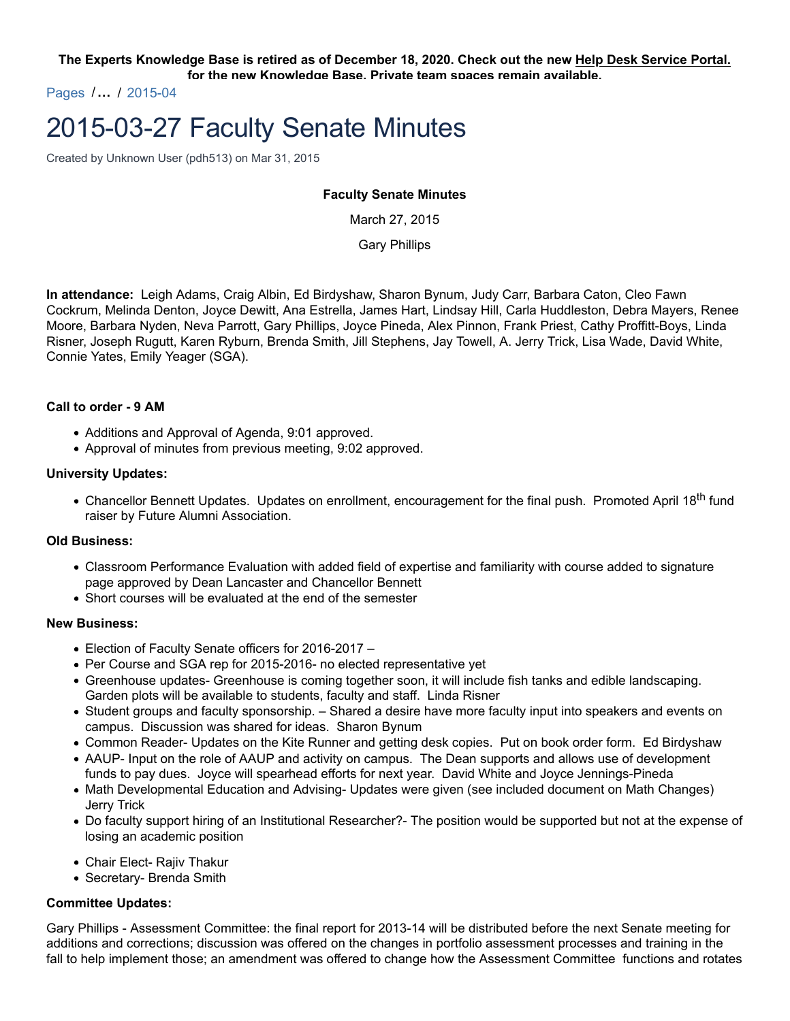**The Experts Knowledge Base is retired as of December 18, 2020. Check out the new Help Desk Service Portal. for the new Knowledge Base. Private team spaces remain available.**

Pages /**…** / 2015-04

# 2015-03-27 Faculty Senate Minutes

Created by Unknown User (pdh513) on Mar 31, 2015

## **Faculty Senate Minutes**

March 27, 2015

Gary Phillips

**In attendance:** Leigh Adams, Craig Albin, Ed Birdyshaw, Sharon Bynum, Judy Carr, Barbara Caton, Cleo Fawn Cockrum, Melinda Denton, Joyce Dewitt, Ana Estrella, James Hart, Lindsay Hill, Carla Huddleston, Debra Mayers, Renee Moore, Barbara Nyden, Neva Parrott, Gary Phillips, Joyce Pineda, Alex Pinnon, Frank Priest, Cathy Proffitt-Boys, Linda Risner, Joseph Rugutt, Karen Ryburn, Brenda Smith, Jill Stephens, Jay Towell, A. Jerry Trick, Lisa Wade, David White, Connie Yates, Emily Yeager (SGA).

## **Call to order - 9 AM**

- Additions and Approval of Agenda, 9:01 approved.
- Approval of minutes from previous meeting, 9:02 approved.

#### **University Updates:**

• Chancellor Bennett Updates. Updates on enrollment, encouragement for the final push. Promoted April 18<sup>th</sup> fund raiser by Future Alumni Association.

## **Old Business:**

- Classroom Performance Evaluation with added field of expertise and familiarity with course added to signature page approved by Dean Lancaster and Chancellor Bennett
- Short courses will be evaluated at the end of the semester

### **New Business:**

- Election of Faculty Senate officers for 2016-2017 –
- Per Course and SGA rep for 2015-2016- no elected representative yet
- Greenhouse updates- Greenhouse is coming together soon, it will include fish tanks and edible landscaping. Garden plots will be available to students, faculty and staff. Linda Risner
- Student groups and faculty sponsorship. Shared a desire have more faculty input into speakers and events on campus. Discussion was shared for ideas. Sharon Bynum
- Common Reader- Updates on the Kite Runner and getting desk copies. Put on book order form. Ed Birdyshaw
- AAUP- Input on the role of AAUP and activity on campus. The Dean supports and allows use of development funds to pay dues. Joyce will spearhead efforts for next year. David White and Joyce Jennings-Pineda
- Math Developmental Education and Advising- Updates were given (see included document on Math Changes) Jerry Trick
- Do faculty support hiring of an Institutional Researcher?- The position would be supported but not at the expense of losing an academic position
- Chair Elect- Rajiv Thakur
- Secretary- Brenda Smith

## **Committee Updates:**

Gary Phillips - Assessment Committee: the final report for 2013-14 will be distributed before the next Senate meeting for additions and corrections; discussion was offered on the changes in portfolio assessment processes and training in the fall to help implement those; an amendment was offered to change how the Assessment Committee functions and rotates